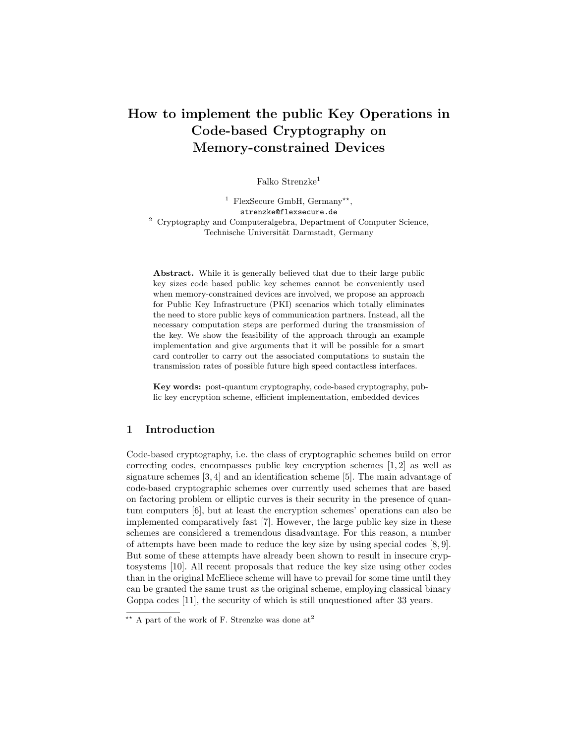# How to implement the public Key Operations in Code-based Cryptography on Memory-constrained Devices

Falko Strenzke<sup>1</sup>

<sup>1</sup> FlexSecure GmbH, Germany<sup>\*\*</sup>, strenzke@flexsecure.de <sup>2</sup> Cryptography and Computeralgebra, Department of Computer Science, Technische Universität Darmstadt, Germany

Abstract. While it is generally believed that due to their large public key sizes code based public key schemes cannot be conveniently used when memory-constrained devices are involved, we propose an approach for Public Key Infrastructure (PKI) scenarios which totally eliminates the need to store public keys of communication partners. Instead, all the necessary computation steps are performed during the transmission of the key. We show the feasibility of the approach through an example implementation and give arguments that it will be possible for a smart card controller to carry out the associated computations to sustain the transmission rates of possible future high speed contactless interfaces.

Key words: post-quantum cryptography, code-based cryptography, public key encryption scheme, efficient implementation, embedded devices

# 1 Introduction

Code-based cryptography, i.e. the class of cryptographic schemes build on error correcting codes, encompasses public key encryption schemes [1, 2] as well as signature schemes [3, 4] and an identification scheme [5]. The main advantage of code-based cryptographic schemes over currently used schemes that are based on factoring problem or elliptic curves is their security in the presence of quantum computers [6], but at least the encryption schemes' operations can also be implemented comparatively fast [7]. However, the large public key size in these schemes are considered a tremendous disadvantage. For this reason, a number of attempts have been made to reduce the key size by using special codes [8, 9]. But some of these attempts have already been shown to result in insecure cryptosystems [10]. All recent proposals that reduce the key size using other codes than in the original McEliece scheme will have to prevail for some time until they can be granted the same trust as the original scheme, employing classical binary Goppa codes [11], the security of which is still unquestioned after 33 years.

 $\overline{X^*}$  A part of the work of F. Strenzke was done at<sup>2</sup>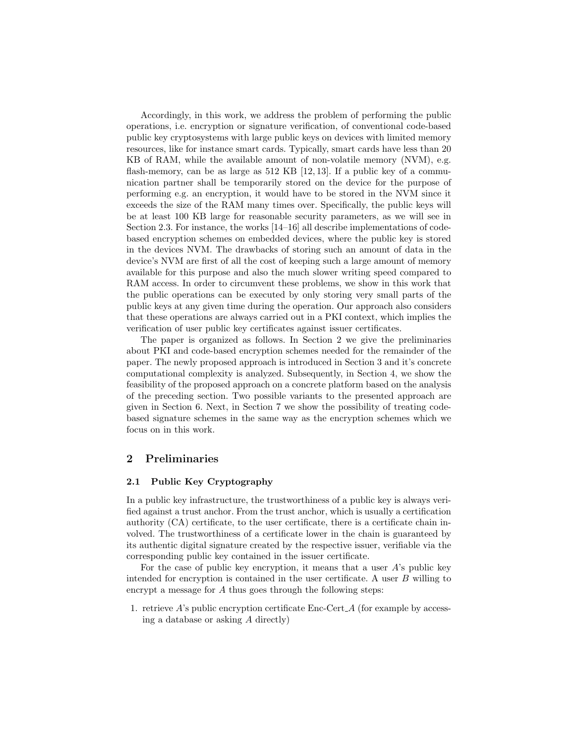Accordingly, in this work, we address the problem of performing the public operations, i.e. encryption or signature verification, of conventional code-based public key cryptosystems with large public keys on devices with limited memory resources, like for instance smart cards. Typically, smart cards have less than 20 KB of RAM, while the available amount of non-volatile memory (NVM), e.g. flash-memory, can be as large as 512 KB [12, 13]. If a public key of a communication partner shall be temporarily stored on the device for the purpose of performing e.g. an encryption, it would have to be stored in the NVM since it exceeds the size of the RAM many times over. Specifically, the public keys will be at least 100 KB large for reasonable security parameters, as we will see in Section 2.3. For instance, the works [14–16] all describe implementations of codebased encryption schemes on embedded devices, where the public key is stored in the devices NVM. The drawbacks of storing such an amount of data in the device's NVM are first of all the cost of keeping such a large amount of memory available for this purpose and also the much slower writing speed compared to RAM access. In order to circumvent these problems, we show in this work that the public operations can be executed by only storing very small parts of the public keys at any given time during the operation. Our approach also considers that these operations are always carried out in a PKI context, which implies the verification of user public key certificates against issuer certificates.

The paper is organized as follows. In Section 2 we give the preliminaries about PKI and code-based encryption schemes needed for the remainder of the paper. The newly proposed approach is introduced in Section 3 and it's concrete computational complexity is analyzed. Subsequently, in Section 4, we show the feasibility of the proposed approach on a concrete platform based on the analysis of the preceding section. Two possible variants to the presented approach are given in Section 6. Next, in Section 7 we show the possibility of treating codebased signature schemes in the same way as the encryption schemes which we focus on in this work.

## 2 Preliminaries

#### 2.1 Public Key Cryptography

In a public key infrastructure, the trustworthiness of a public key is always verified against a trust anchor. From the trust anchor, which is usually a certification authority (CA) certificate, to the user certificate, there is a certificate chain involved. The trustworthiness of a certificate lower in the chain is guaranteed by its authentic digital signature created by the respective issuer, verifiable via the corresponding public key contained in the issuer certificate.

For the case of public key encryption, it means that a user  $A$ 's public key intended for encryption is contained in the user certificate. A user  $B$  willing to encrypt a message for A thus goes through the following steps:

1. retrieve  $A$ 's public encryption certificate Enc-Cert<sub> $A$ </sub> (for example by accessing a database or asking A directly)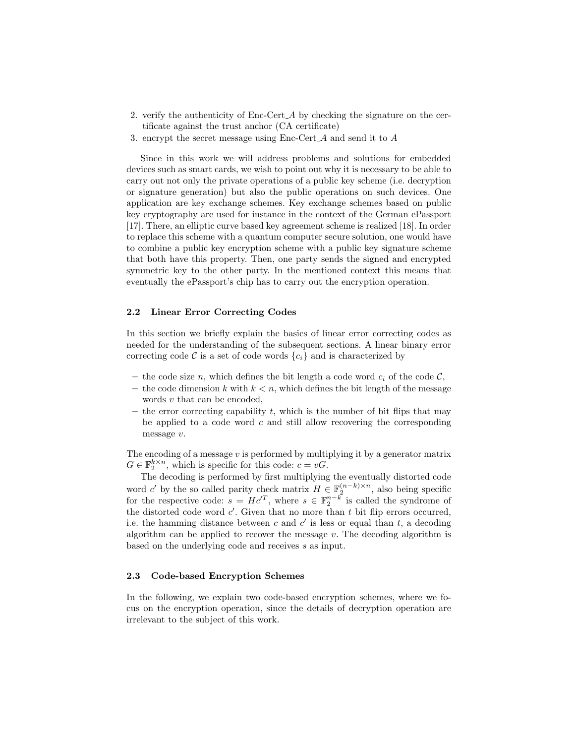- 2. verify the authenticity of Enc-Cert A by checking the signature on the certificate against the trust anchor (CA certificate)
- 3. encrypt the secret message using Enc-Cert A and send it to A

Since in this work we will address problems and solutions for embedded devices such as smart cards, we wish to point out why it is necessary to be able to carry out not only the private operations of a public key scheme (i.e. decryption or signature generation) but also the public operations on such devices. One application are key exchange schemes. Key exchange schemes based on public key cryptography are used for instance in the context of the German ePassport [17]. There, an elliptic curve based key agreement scheme is realized [18]. In order to replace this scheme with a quantum computer secure solution, one would have to combine a public key encryption scheme with a public key signature scheme that both have this property. Then, one party sends the signed and encrypted symmetric key to the other party. In the mentioned context this means that eventually the ePassport's chip has to carry out the encryption operation.

#### 2.2 Linear Error Correcting Codes

In this section we briefly explain the basics of linear error correcting codes as needed for the understanding of the subsequent sections. A linear binary error correcting code C is a set of code words  $\{c_i\}$  and is characterized by

- the code size n, which defines the bit length a code word  $c_i$  of the code C,
- the code dimension  $k$  with  $k < n$ , which defines the bit length of the message words v that can be encoded,
- the error correcting capability t, which is the number of bit flips that may be applied to a code word  $c$  and still allow recovering the corresponding message v.

The encoding of a message  $v$  is performed by multiplying it by a generator matrix  $G \in \mathbb{F}_2^{k \times n}$ , which is specific for this code:  $c = vG$ .

The decoding is performed by first multiplying the eventually distorted code word c' by the so called parity check matrix  $H \in \mathbb{F}_2^{(n-k)\times n}$ , also being specific for the respective code:  $s = Hc^{T}$ , where  $s \in \mathbb{F}_2^{n-k}$  is called the syndrome of the distorted code word  $c'$ . Given that no more than t bit flip errors occurred, i.e. the hamming distance between c and  $c'$  is less or equal than t, a decoding algorithm can be applied to recover the message  $v$ . The decoding algorithm is based on the underlying code and receives s as input.

## 2.3 Code-based Encryption Schemes

In the following, we explain two code-based encryption schemes, where we focus on the encryption operation, since the details of decryption operation are irrelevant to the subject of this work.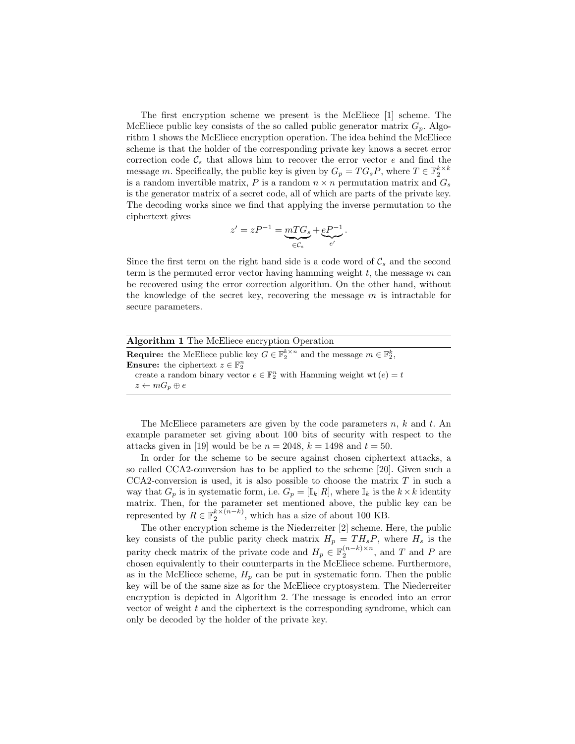The first encryption scheme we present is the McEliece [1] scheme. The McEliece public key consists of the so called public generator matrix  $G_p$ . Algorithm 1 shows the McEliece encryption operation. The idea behind the McEliece scheme is that the holder of the corresponding private key knows a secret error correction code  $\mathcal{C}_s$  that allows him to recover the error vector e and find the message m. Specifically, the public key is given by  $G_p = TG_sP$ , where  $T \in \mathbb{F}_2^{k \times k}$ is a random invertible matrix, P is a random  $n \times n$  permutation matrix and  $G_s$ is the generator matrix of a secret code, all of which are parts of the private key. The decoding works since we find that applying the inverse permutation to the ciphertext gives

$$
z' = zP^{-1} = \underbrace{mTG_s}_{\in \mathcal{C}_s} + \underbrace{eP^{-1}}_{e'}.
$$

Since the first term on the right hand side is a code word of  $C_s$  and the second term is the permuted error vector having hamming weight  $t$ , the message  $m$  can be recovered using the error correction algorithm. On the other hand, without the knowledge of the secret key, recovering the message  $m$  is intractable for secure parameters.

| <b>Algorithm 1</b> The McEliece encryption Operation                                                               |  |
|--------------------------------------------------------------------------------------------------------------------|--|
| <b>Require:</b> the McEliece public key $G \in \mathbb{F}_2^{k \times n}$ and the message $m \in \mathbb{F}_2^k$ , |  |
| <b>Ensure:</b> the ciphertext $z \in \mathbb{F}_2^n$                                                               |  |
| create a random binary vector $e \in \mathbb{F}_2^n$ with Hamming weight wt $(e) = t$                              |  |
| $z \leftarrow mG_n \oplus e$                                                                                       |  |

The McEliece parameters are given by the code parameters  $n, k$  and  $t$ . An example parameter set giving about 100 bits of security with respect to the attacks given in [19] would be be  $n = 2048$ ,  $k = 1498$  and  $t = 50$ .

In order for the scheme to be secure against chosen ciphertext attacks, a so called CCA2-conversion has to be applied to the scheme [20]. Given such a  $CCA2$ -conversion is used, it is also possible to choose the matrix  $T$  in such a way that  $G_p$  is in systematic form, i.e.  $G_p = [\mathbb{I}_k | R]$ , where  $\mathbb{I}_k$  is the  $k \times k$  identity matrix. Then, for the parameter set mentioned above, the public key can be represented by  $R \in \mathbb{F}_2^{k \times (n-k)}$ , which has a size of about 100 KB.

The other encryption scheme is the Niederreiter [2] scheme. Here, the public key consists of the public parity check matrix  $H_p = TH_sP$ , where  $H_s$  is the parity check matrix of the private code and  $H_p \in \mathbb{F}_2^{(n-k)\times n}$ , and T and P are chosen equivalently to their counterparts in the McEliece scheme. Furthermore, as in the McEliece scheme,  $H_p$  can be put in systematic form. Then the public key will be of the same size as for the McEliece cryptosystem. The Niederreiter encryption is depicted in Algorithm 2. The message is encoded into an error vector of weight  $t$  and the ciphertext is the corresponding syndrome, which can only be decoded by the holder of the private key.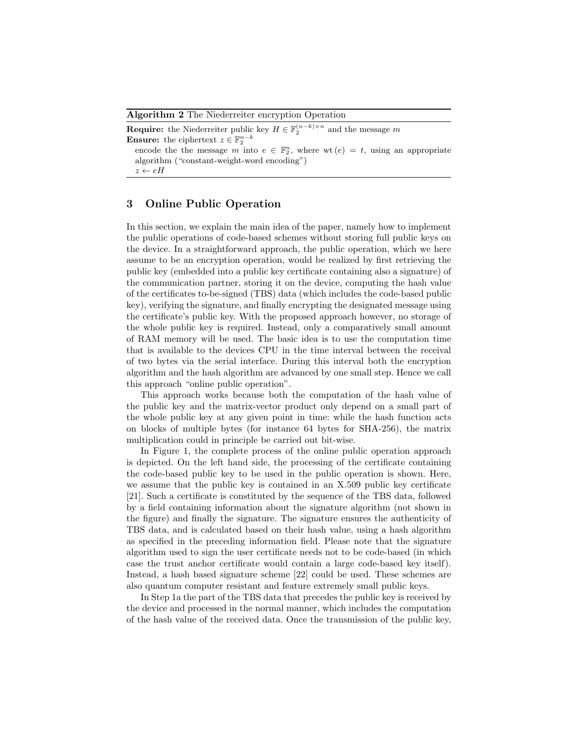Algorithm 2 The Niederreiter encryption Operation

**Require:** the Niederreiter public key  $H \in \mathbb{F}_2^{(n-k)\times n}$  and the message m **Ensure:** the ciphertext  $z \in \mathbb{F}_2^{n-k}$ 

encode the the message m into  $e \in \mathbb{F}_2^n$ , where wt  $(e) = t$ , using an appropriate algorithm ("constant-weight-word encoding")

 $z \leftarrow eH$ 

## 3 Online Public Operation

In this section, we explain the main idea of the paper, namely how to implement the public operations of code-based schemes without storing full public keys on the device. In a straightforward approach, the public operation, which we here assume to be an encryption operation, would be realized by first retrieving the public key (embedded into a public key certificate containing also a signature) of the communication partner, storing it on the device, computing the hash value of the certificates to-be-signed (TBS) data (which includes the code-based public key), verifying the signature, and finally encrypting the designated message using the certificate's public key. With the proposed approach however, no storage of the whole public key is required. Instead, only a comparatively small amount of RAM memory will be used. The basic idea is to use the computation time that is available to the devices CPU in the time interval between the receival of two bytes via the serial interface. During this interval both the encryption algorithm and the hash algorithm are advanced by one small step. Hence we call this approach "online public operation".

This approach works because both the computation of the hash value of the public key and the matrix-vector product only depend on a small part of the whole public key at any given point in time: while the hash function acts on blocks of multiple bytes (for instance 64 bytes for SHA-256), the matrix multiplication could in principle be carried out bit-wise.

In Figure 1, the complete process of the online public operation approach is depicted. On the left hand side, the processing of the certificate containing the code-based public key to be used in the public operation is shown. Here, we assume that the public key is contained in an X.509 public key certificate [21]. Such a certificate is constituted by the sequence of the TBS data, followed by a field containing information about the signature algorithm (not shown in the figure) and finally the signature. The signature ensures the authenticity of TBS data, and is calculated based on their hash value, using a hash algorithm as specified in the preceding information field. Please note that the signature algorithm used to sign the user certificate needs not to be code-based (in which case the trust anchor certificate would contain a large code-based key itself). Instead, a hash based signature scheme [22] could be used. These schemes are also quantum computer resistant and feature extremely small public keys.

In Step 1a the part of the TBS data that precedes the public key is received by the device and processed in the normal manner, which includes the computation of the hash value of the received data. Once the transmission of the public key,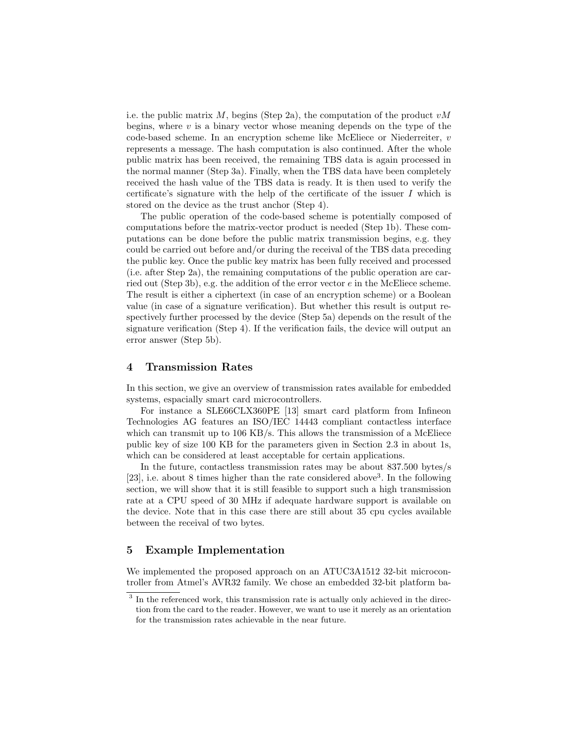i.e. the public matrix  $M$ , begins (Step 2a), the computation of the product  $vM$ begins, where  $v$  is a binary vector whose meaning depends on the type of the code-based scheme. In an encryption scheme like McEliece or Niederreiter,  $v$ represents a message. The hash computation is also continued. After the whole public matrix has been received, the remaining TBS data is again processed in the normal manner (Step 3a). Finally, when the TBS data have been completely received the hash value of the TBS data is ready. It is then used to verify the certificate's signature with the help of the certificate of the issuer  $I$  which is stored on the device as the trust anchor (Step 4).

The public operation of the code-based scheme is potentially composed of computations before the matrix-vector product is needed (Step 1b). These computations can be done before the public matrix transmission begins, e.g. they could be carried out before and/or during the receival of the TBS data preceding the public key. Once the public key matrix has been fully received and processed (i.e. after Step 2a), the remaining computations of the public operation are carried out (Step 3b), e.g. the addition of the error vector  $e$  in the McEliece scheme. The result is either a ciphertext (in case of an encryption scheme) or a Boolean value (in case of a signature verification). But whether this result is output respectively further processed by the device (Step 5a) depends on the result of the signature verification (Step 4). If the verification fails, the device will output an error answer (Step 5b).

#### 4 Transmission Rates

In this section, we give an overview of transmission rates available for embedded systems, espacially smart card microcontrollers.

For instance a SLE66CLX360PE [13] smart card platform from Infineon Technologies AG features an ISO/IEC 14443 compliant contactless interface which can transmit up to 106 KB/s. This allows the transmission of a McEliece public key of size 100 KB for the parameters given in Section 2.3 in about 1s, which can be considered at least acceptable for certain applications.

In the future, contactless transmission rates may be about 837.500 bytes/s [23], i.e. about 8 times higher than the rate considered above<sup>3</sup>. In the following section, we will show that it is still feasible to support such a high transmission rate at a CPU speed of 30 MHz if adequate hardware support is available on the device. Note that in this case there are still about 35 cpu cycles available between the receival of two bytes.

#### 5 Example Implementation

We implemented the proposed approach on an ATUC3A1512 32-bit microcontroller from Atmel's AVR32 family. We chose an embedded 32-bit platform ba-

<sup>&</sup>lt;sup>3</sup> In the referenced work, this transmission rate is actually only achieved in the direction from the card to the reader. However, we want to use it merely as an orientation for the transmission rates achievable in the near future.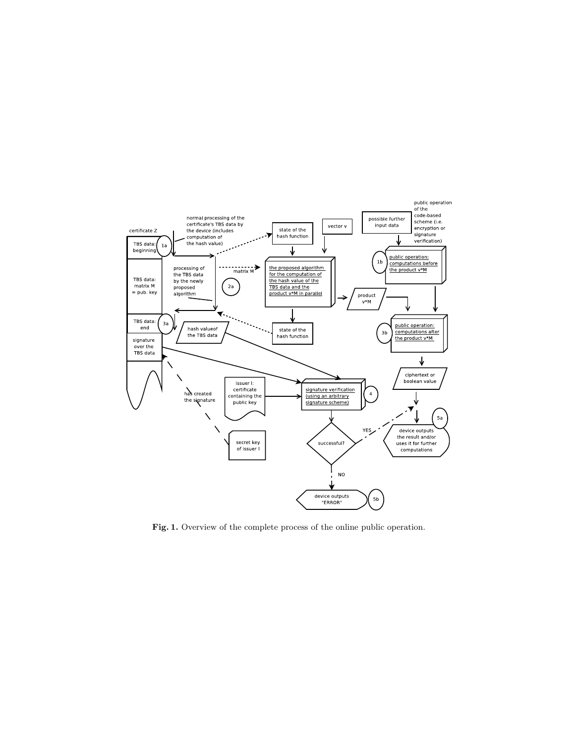

Fig. 1. Overview of the complete process of the online public operation.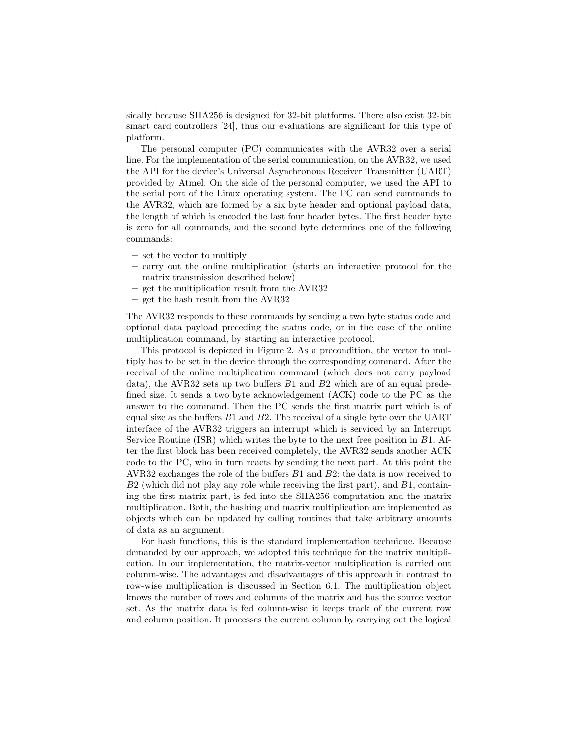sically because SHA256 is designed for 32-bit platforms. There also exist 32-bit smart card controllers [24], thus our evaluations are significant for this type of platform.

The personal computer (PC) communicates with the AVR32 over a serial line. For the implementation of the serial communication, on the AVR32, we used the API for the device's Universal Asynchronous Receiver Transmitter (UART) provided by Atmel. On the side of the personal computer, we used the API to the serial port of the Linux operating system. The PC can send commands to the AVR32, which are formed by a six byte header and optional payload data, the length of which is encoded the last four header bytes. The first header byte is zero for all commands, and the second byte determines one of the following commands:

- set the vector to multiply
- carry out the online multiplication (starts an interactive protocol for the matrix transmission described below)
- get the multiplication result from the AVR32
- get the hash result from the AVR32

The AVR32 responds to these commands by sending a two byte status code and optional data payload preceding the status code, or in the case of the online multiplication command, by starting an interactive protocol.

This protocol is depicted in Figure 2. As a precondition, the vector to multiply has to be set in the device through the corresponding command. After the receival of the online multiplication command (which does not carry payload data), the AVR32 sets up two buffers  $B1$  and  $B2$  which are of an equal predefined size. It sends a two byte acknowledgement (ACK) code to the PC as the answer to the command. Then the PC sends the first matrix part which is of equal size as the buffers  $B1$  and  $B2$ . The receival of a single byte over the UART interface of the AVR32 triggers an interrupt which is serviced by an Interrupt Service Routine (ISR) which writes the byte to the next free position in B1. After the first block has been received completely, the AVR32 sends another ACK code to the PC, who in turn reacts by sending the next part. At this point the AVR32 exchanges the role of the buffers B1 and B2: the data is now received to  $B2$  (which did not play any role while receiving the first part), and  $B1$ , containing the first matrix part, is fed into the SHA256 computation and the matrix multiplication. Both, the hashing and matrix multiplication are implemented as objects which can be updated by calling routines that take arbitrary amounts of data as an argument.

For hash functions, this is the standard implementation technique. Because demanded by our approach, we adopted this technique for the matrix multiplication. In our implementation, the matrix-vector multiplication is carried out column-wise. The advantages and disadvantages of this approach in contrast to row-wise multiplication is discussed in Section 6.1. The multiplication object knows the number of rows and columns of the matrix and has the source vector set. As the matrix data is fed column-wise it keeps track of the current row and column position. It processes the current column by carrying out the logical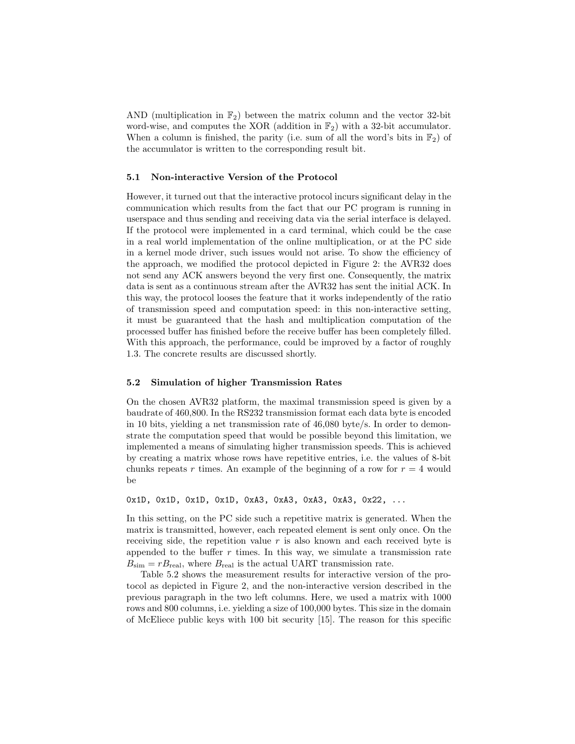AND (multiplication in  $\mathbb{F}_2$ ) between the matrix column and the vector 32-bit word-wise, and computes the XOR (addition in  $\mathbb{F}_2$ ) with a 32-bit accumulator. When a column is finished, the parity (i.e. sum of all the word's bits in  $\mathbb{F}_2$ ) of the accumulator is written to the corresponding result bit.

#### 5.1 Non-interactive Version of the Protocol

However, it turned out that the interactive protocol incurs significant delay in the communication which results from the fact that our PC program is running in userspace and thus sending and receiving data via the serial interface is delayed. If the protocol were implemented in a card terminal, which could be the case in a real world implementation of the online multiplication, or at the PC side in a kernel mode driver, such issues would not arise. To show the efficiency of the approach, we modified the protocol depicted in Figure 2: the AVR32 does not send any ACK answers beyond the very first one. Consequently, the matrix data is sent as a continuous stream after the AVR32 has sent the initial ACK. In this way, the protocol looses the feature that it works independently of the ratio of transmission speed and computation speed: in this non-interactive setting, it must be guaranteed that the hash and multiplication computation of the processed buffer has finished before the receive buffer has been completely filled. With this approach, the performance, could be improved by a factor of roughly 1.3. The concrete results are discussed shortly.

#### 5.2 Simulation of higher Transmission Rates

On the chosen AVR32 platform, the maximal transmission speed is given by a baudrate of 460,800. In the RS232 transmission format each data byte is encoded in 10 bits, yielding a net transmission rate of 46,080 byte/s. In order to demonstrate the computation speed that would be possible beyond this limitation, we implemented a means of simulating higher transmission speeds. This is achieved by creating a matrix whose rows have repetitive entries, i.e. the values of 8-bit chunks repeats r times. An example of the beginning of a row for  $r = 4$  would be

0x1D, 0x1D, 0x1D, 0x1D, 0xA3, 0xA3, 0xA3, 0xA3, 0x22, ...

In this setting, on the PC side such a repetitive matrix is generated. When the matrix is transmitted, however, each repeated element is sent only once. On the receiving side, the repetition value  $r$  is also known and each received byte is appended to the buffer  $r$  times. In this way, we simulate a transmission rate  $B_{\text{sim}} = rB_{\text{real}}$ , where  $B_{\text{real}}$  is the actual UART transmission rate.

Table 5.2 shows the measurement results for interactive version of the protocol as depicted in Figure 2, and the non-interactive version described in the previous paragraph in the two left columns. Here, we used a matrix with 1000 rows and 800 columns, i.e. yielding a size of 100,000 bytes. This size in the domain of McEliece public keys with 100 bit security [15]. The reason for this specific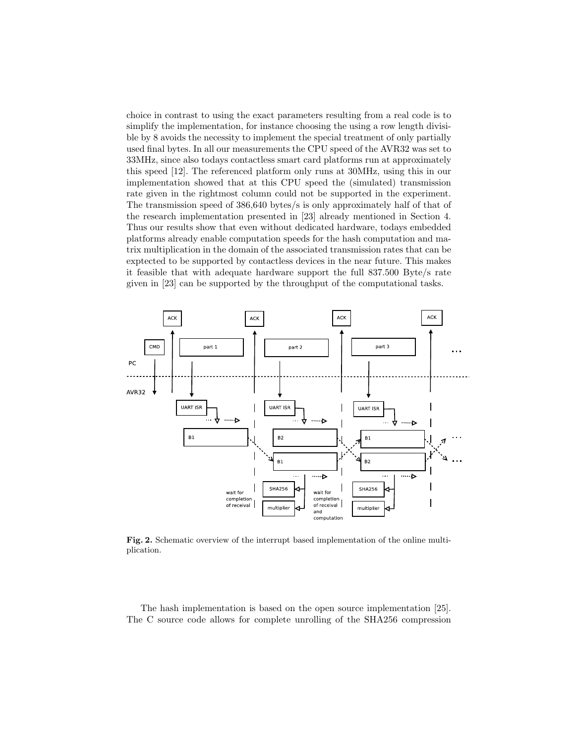choice in contrast to using the exact parameters resulting from a real code is to simplify the implementation, for instance choosing the using a row length divisible by 8 avoids the necessity to implement the special treatment of only partially used final bytes. In all our measurements the CPU speed of the AVR32 was set to 33MHz, since also todays contactless smart card platforms run at approximately this speed [12]. The referenced platform only runs at 30MHz, using this in our implementation showed that at this CPU speed the (simulated) transmission rate given in the rightmost column could not be supported in the experiment. The transmission speed of 386,640 bytes/s is only approximately half of that of the research implementation presented in [23] already mentioned in Section 4. Thus our results show that even without dedicated hardware, todays embedded platforms already enable computation speeds for the hash computation and matrix multiplication in the domain of the associated transmission rates that can be exptected to be supported by contactless devices in the near future. This makes it feasible that with adequate hardware support the full 837.500 Byte/s rate given in [23] can be supported by the throughput of the computational tasks.



Fig. 2. Schematic overview of the interrupt based implementation of the online multiplication.

The hash implementation is based on the open source implementation [25]. The C source code allows for complete unrolling of the SHA256 compression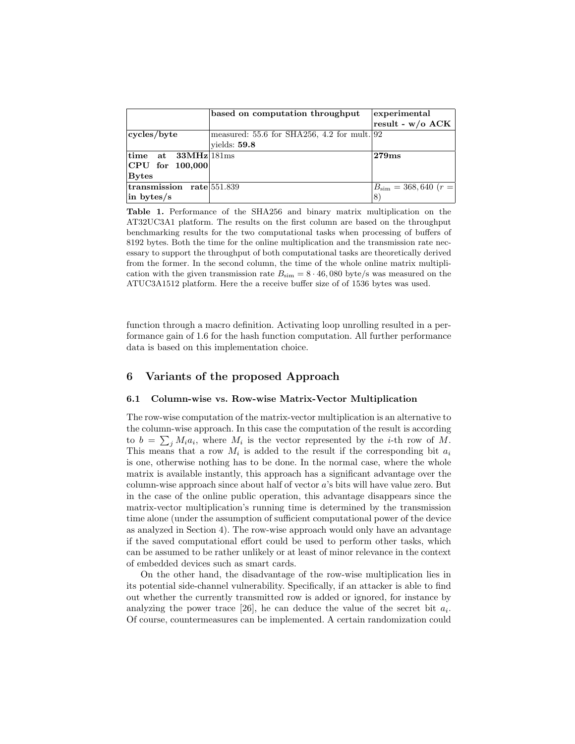|                                               | based on computation throughput               | experimental                    |
|-----------------------------------------------|-----------------------------------------------|---------------------------------|
|                                               |                                               | result - $w/o$ ACK              |
| cycles/byte                                   | measured: $55.6$ for SHA256, 4.2 for mult. 92 |                                 |
|                                               | yields: $59.8$                                |                                 |
| $\lim_{\rm \bf 1.33 MHz}$ time at 33MHz 181ms |                                               | 279ms                           |
| $ {\rm CPU~for~100,000} $                     |                                               |                                 |
| Bytes                                         |                                               |                                 |
| transmission rate 551.839                     |                                               | $B_{\text{sim}} = 368,640$ (r = |
| $\ln$ bytes/s                                 |                                               | 8                               |

Table 1. Performance of the SHA256 and binary matrix multiplication on the AT32UC3A1 platform. The results on the first column are based on the throughput benchmarking results for the two computational tasks when processing of buffers of 8192 bytes. Both the time for the online multiplication and the transmission rate necessary to support the throughput of both computational tasks are theoretically derived from the former. In the second column, the time of the whole online matrix multiplication with the given transmission rate  $B_{\text{sim}} = 8 \cdot 46,080$  byte/s was measured on the ATUC3A1512 platform. Here the a receive buffer size of of 1536 bytes was used.

function through a macro definition. Activating loop unrolling resulted in a performance gain of 1.6 for the hash function computation. All further performance data is based on this implementation choice.

## 6 Variants of the proposed Approach

#### 6.1 Column-wise vs. Row-wise Matrix-Vector Multiplication

The row-wise computation of the matrix-vector multiplication is an alternative to the column-wise approach. In this case the computation of the result is according to  $b = \sum_j M_i a_i$ , where  $M_i$  is the vector represented by the *i*-th row of M. This means that a row  $M_i$  is added to the result if the corresponding bit  $a_i$ is one, otherwise nothing has to be done. In the normal case, where the whole matrix is available instantly, this approach has a significant advantage over the column-wise approach since about half of vector a's bits will have value zero. But in the case of the online public operation, this advantage disappears since the matrix-vector multiplication's running time is determined by the transmission time alone (under the assumption of sufficient computational power of the device as analyzed in Section 4). The row-wise approach would only have an advantage if the saved computational effort could be used to perform other tasks, which can be assumed to be rather unlikely or at least of minor relevance in the context of embedded devices such as smart cards.

On the other hand, the disadvantage of the row-wise multiplication lies in its potential side-channel vulnerability. Specifically, if an attacker is able to find out whether the currently transmitted row is added or ignored, for instance by analyzing the power trace [26], he can deduce the value of the secret bit  $a_i$ . Of course, countermeasures can be implemented. A certain randomization could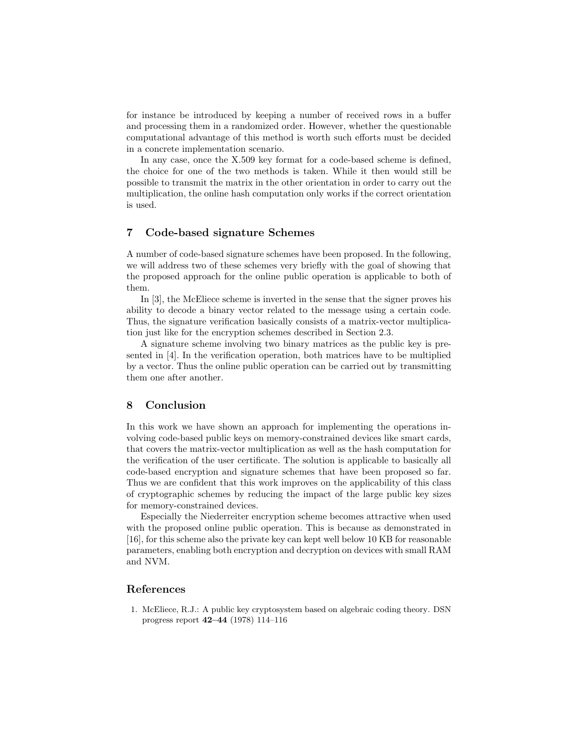for instance be introduced by keeping a number of received rows in a buffer and processing them in a randomized order. However, whether the questionable computational advantage of this method is worth such efforts must be decided in a concrete implementation scenario.

In any case, once the X.509 key format for a code-based scheme is defined, the choice for one of the two methods is taken. While it then would still be possible to transmit the matrix in the other orientation in order to carry out the multiplication, the online hash computation only works if the correct orientation is used.

## 7 Code-based signature Schemes

A number of code-based signature schemes have been proposed. In the following, we will address two of these schemes very briefly with the goal of showing that the proposed approach for the online public operation is applicable to both of them.

In [3], the McEliece scheme is inverted in the sense that the signer proves his ability to decode a binary vector related to the message using a certain code. Thus, the signature verification basically consists of a matrix-vector multiplication just like for the encryption schemes described in Section 2.3.

A signature scheme involving two binary matrices as the public key is presented in [4]. In the verification operation, both matrices have to be multiplied by a vector. Thus the online public operation can be carried out by transmitting them one after another.

#### 8 Conclusion

In this work we have shown an approach for implementing the operations involving code-based public keys on memory-constrained devices like smart cards, that covers the matrix-vector multiplication as well as the hash computation for the verification of the user certificate. The solution is applicable to basically all code-based encryption and signature schemes that have been proposed so far. Thus we are confident that this work improves on the applicability of this class of cryptographic schemes by reducing the impact of the large public key sizes for memory-constrained devices.

Especially the Niederreiter encryption scheme becomes attractive when used with the proposed online public operation. This is because as demonstrated in [16], for this scheme also the private key can kept well below 10 KB for reasonable parameters, enabling both encryption and decryption on devices with small RAM and NVM.

#### References

1. McEliece, R.J.: A public key cryptosystem based on algebraic coding theory. DSN progress report 42–44 (1978) 114–116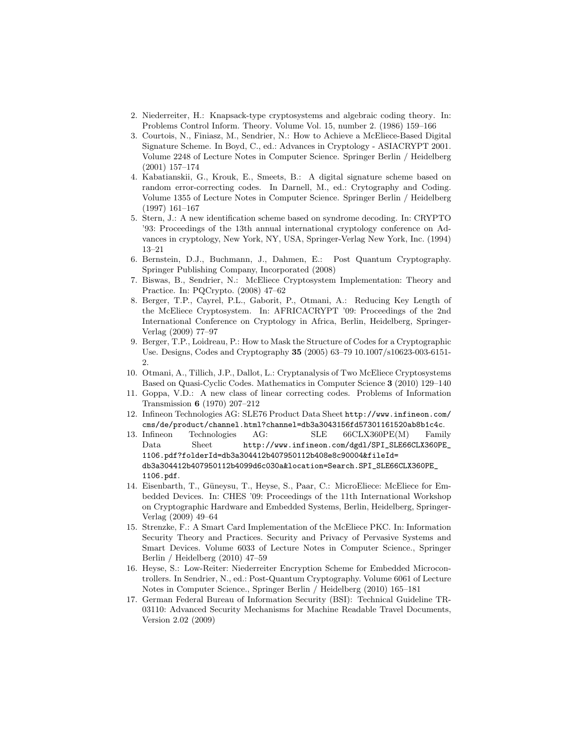- 2. Niederreiter, H.: Knapsack-type cryptosystems and algebraic coding theory. In: Problems Control Inform. Theory. Volume Vol. 15, number 2. (1986) 159–166
- 3. Courtois, N., Finiasz, M., Sendrier, N.: How to Achieve a McEliece-Based Digital Signature Scheme. In Boyd, C., ed.: Advances in Cryptology - ASIACRYPT 2001. Volume 2248 of Lecture Notes in Computer Science. Springer Berlin / Heidelberg (2001) 157–174
- 4. Kabatianskii, G., Krouk, E., Smeets, B.: A digital signature scheme based on random error-correcting codes. In Darnell, M., ed.: Crytography and Coding. Volume 1355 of Lecture Notes in Computer Science. Springer Berlin / Heidelberg (1997) 161–167
- 5. Stern, J.: A new identification scheme based on syndrome decoding. In: CRYPTO '93: Proceedings of the 13th annual international cryptology conference on Advances in cryptology, New York, NY, USA, Springer-Verlag New York, Inc. (1994) 13–21
- 6. Bernstein, D.J., Buchmann, J., Dahmen, E.: Post Quantum Cryptography. Springer Publishing Company, Incorporated (2008)
- 7. Biswas, B., Sendrier, N.: McEliece Cryptosystem Implementation: Theory and Practice. In: PQCrypto. (2008) 47–62
- 8. Berger, T.P., Cayrel, P.L., Gaborit, P., Otmani, A.: Reducing Key Length of the McEliece Cryptosystem. In: AFRICACRYPT '09: Proceedings of the 2nd International Conference on Cryptology in Africa, Berlin, Heidelberg, Springer-Verlag (2009) 77–97
- 9. Berger, T.P., Loidreau, P.: How to Mask the Structure of Codes for a Cryptographic Use. Designs, Codes and Cryptography 35 (2005) 63–79 10.1007/s10623-003-6151- 2.
- 10. Otmani, A., Tillich, J.P., Dallot, L.: Cryptanalysis of Two McEliece Cryptosystems Based on Quasi-Cyclic Codes. Mathematics in Computer Science 3 (2010) 129–140
- 11. Goppa, V.D.: A new class of linear correcting codes. Problems of Information Transmission 6 (1970) 207–212
- 12. Infineon Technologies AG: SLE76 Product Data Sheet http://www.infineon.com/ cms/de/product/channel.html?channel=db3a3043156fd57301161520ab8b1c4c.<br>13. Infineon Technologies AG: SLE 66CLX360PE(M) Famil
- Technologies AG: SLE 66CLX360PE(M) Family Data Sheet http://www.infineon.com/dgdl/SPI\_SLE66CLX360PE\_ 1106.pdf?folderId=db3a304412b407950112b408e8c90004&fileId= db3a304412b407950112b4099d6c030a&location=Search.SPI\_SLE66CLX360PE\_ 1106.pdf.
- 14. Eisenbarth, T., Güneysu, T., Heyse, S., Paar, C.: MicroEliece: McEliece for Embedded Devices. In: CHES '09: Proceedings of the 11th International Workshop on Cryptographic Hardware and Embedded Systems, Berlin, Heidelberg, Springer-Verlag (2009) 49–64
- 15. Strenzke, F.: A Smart Card Implementation of the McEliece PKC. In: Information Security Theory and Practices. Security and Privacy of Pervasive Systems and Smart Devices. Volume 6033 of Lecture Notes in Computer Science., Springer Berlin / Heidelberg (2010) 47–59
- 16. Heyse, S.: Low-Reiter: Niederreiter Encryption Scheme for Embedded Microcontrollers. In Sendrier, N., ed.: Post-Quantum Cryptography. Volume 6061 of Lecture Notes in Computer Science., Springer Berlin / Heidelberg (2010) 165–181
- 17. German Federal Bureau of Information Security (BSI): Technical Guideline TR-03110: Advanced Security Mechanisms for Machine Readable Travel Documents, Version 2.02 (2009)